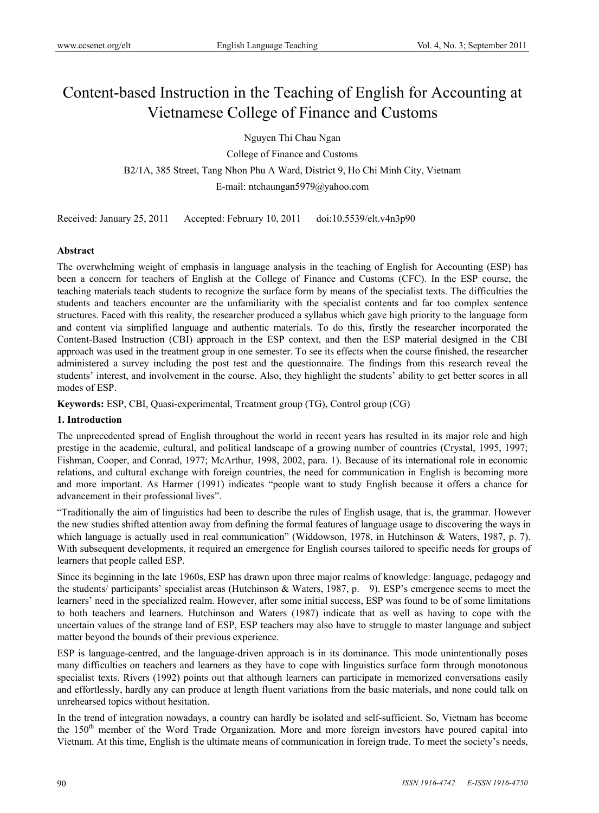# Content-based Instruction in the Teaching of English for Accounting at Vietnamese College of Finance and Customs

Nguyen Thi Chau Ngan

College of Finance and Customs B2/1A, 385 Street, Tang Nhon Phu A Ward, District 9, Ho Chi Minh City, Vietnam E-mail: ntchaungan5979@yahoo.com

Received: January 25, 2011 Accepted: February 10, 2011 doi:10.5539/elt.v4n3p90

#### **Abstract**

The overwhelming weight of emphasis in language analysis in the teaching of English for Accounting (ESP) has been a concern for teachers of English at the College of Finance and Customs (CFC). In the ESP course, the teaching materials teach students to recognize the surface form by means of the specialist texts. The difficulties the students and teachers encounter are the unfamiliarity with the specialist contents and far too complex sentence structures. Faced with this reality, the researcher produced a syllabus which gave high priority to the language form and content via simplified language and authentic materials. To do this, firstly the researcher incorporated the Content-Based Instruction (CBI) approach in the ESP context, and then the ESP material designed in the CBI approach was used in the treatment group in one semester. To see its effects when the course finished, the researcher administered a survey including the post test and the questionnaire. The findings from this research reveal the students' interest, and involvement in the course. Also, they highlight the students' ability to get better scores in all modes of ESP.

**Keywords:** ESP, CBI, Quasi-experimental, Treatment group (TG), Control group (CG)

#### **1. Introduction**

The unprecedented spread of English throughout the world in recent years has resulted in its major role and high prestige in the academic, cultural, and political landscape of a growing number of countries (Crystal, 1995, 1997; Fishman, Cooper, and Conrad, 1977; McArthur, 1998, 2002, para. 1). Because of its international role in economic relations, and cultural exchange with foreign countries, the need for communication in English is becoming more and more important. As Harmer (1991) indicates "people want to study English because it offers a chance for advancement in their professional lives".

"Traditionally the aim of linguistics had been to describe the rules of English usage, that is, the grammar. However the new studies shifted attention away from defining the formal features of language usage to discovering the ways in which language is actually used in real communication" (Widdowson, 1978, in Hutchinson & Waters, 1987, p. 7). With subsequent developments, it required an emergence for English courses tailored to specific needs for groups of learners that people called ESP.

Since its beginning in the late 1960s, ESP has drawn upon three major realms of knowledge: language, pedagogy and the students/ participants' specialist areas (Hutchinson & Waters, 1987, p. 9). ESP's emergence seems to meet the learners' need in the specialized realm. However, after some initial success, ESP was found to be of some limitations to both teachers and learners. Hutchinson and Waters (1987) indicate that as well as having to cope with the uncertain values of the strange land of ESP, ESP teachers may also have to struggle to master language and subject matter beyond the bounds of their previous experience.

ESP is language-centred, and the language-driven approach is in its dominance. This mode unintentionally poses many difficulties on teachers and learners as they have to cope with linguistics surface form through monotonous specialist texts. Rivers (1992) points out that although learners can participate in memorized conversations easily and effortlessly, hardly any can produce at length fluent variations from the basic materials, and none could talk on unrehearsed topics without hesitation.

In the trend of integration nowadays, a country can hardly be isolated and self-sufficient. So, Vietnam has become the 150<sup>th</sup> member of the Word Trade Organization. More and more foreign investors have poured capital into Vietnam. At this time, English is the ultimate means of communication in foreign trade. To meet the society's needs,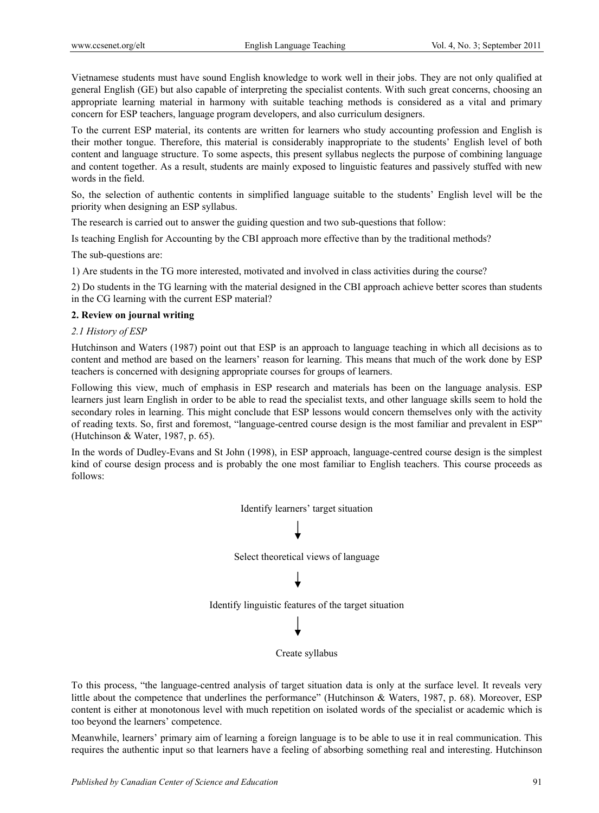Vietnamese students must have sound English knowledge to work well in their jobs. They are not only qualified at general English (GE) but also capable of interpreting the specialist contents. With such great concerns, choosing an appropriate learning material in harmony with suitable teaching methods is considered as a vital and primary concern for ESP teachers, language program developers, and also curriculum designers.

To the current ESP material, its contents are written for learners who study accounting profession and English is their mother tongue. Therefore, this material is considerably inappropriate to the students' English level of both content and language structure. To some aspects, this present syllabus neglects the purpose of combining language and content together. As a result, students are mainly exposed to linguistic features and passively stuffed with new words in the field.

So, the selection of authentic contents in simplified language suitable to the students' English level will be the priority when designing an ESP syllabus.

The research is carried out to answer the guiding question and two sub-questions that follow:

Is teaching English for Accounting by the CBI approach more effective than by the traditional methods?

The sub-questions are:

1) Are students in the TG more interested, motivated and involved in class activities during the course?

2) Do students in the TG learning with the material designed in the CBI approach achieve better scores than students in the CG learning with the current ESP material?

#### **2. Review on journal writing**

#### *2.1 History of ESP*

Hutchinson and Waters (1987) point out that ESP is an approach to language teaching in which all decisions as to content and method are based on the learners' reason for learning. This means that much of the work done by ESP teachers is concerned with designing appropriate courses for groups of learners.

Following this view, much of emphasis in ESP research and materials has been on the language analysis. ESP learners just learn English in order to be able to read the specialist texts, and other language skills seem to hold the secondary roles in learning. This might conclude that ESP lessons would concern themselves only with the activity of reading texts. So, first and foremost, "language-centred course design is the most familiar and prevalent in ESP" (Hutchinson & Water, 1987, p. 65).

In the words of Dudley-Evans and St John (1998), in ESP approach, language-centred course design is the simplest kind of course design process and is probably the one most familiar to English teachers. This course proceeds as follows:



To this process, "the language-centred analysis of target situation data is only at the surface level. It reveals very little about the competence that underlines the performance" (Hutchinson & Waters, 1987, p. 68). Moreover, ESP content is either at monotonous level with much repetition on isolated words of the specialist or academic which is too beyond the learners' competence.

Meanwhile, learners' primary aim of learning a foreign language is to be able to use it in real communication. This requires the authentic input so that learners have a feeling of absorbing something real and interesting. Hutchinson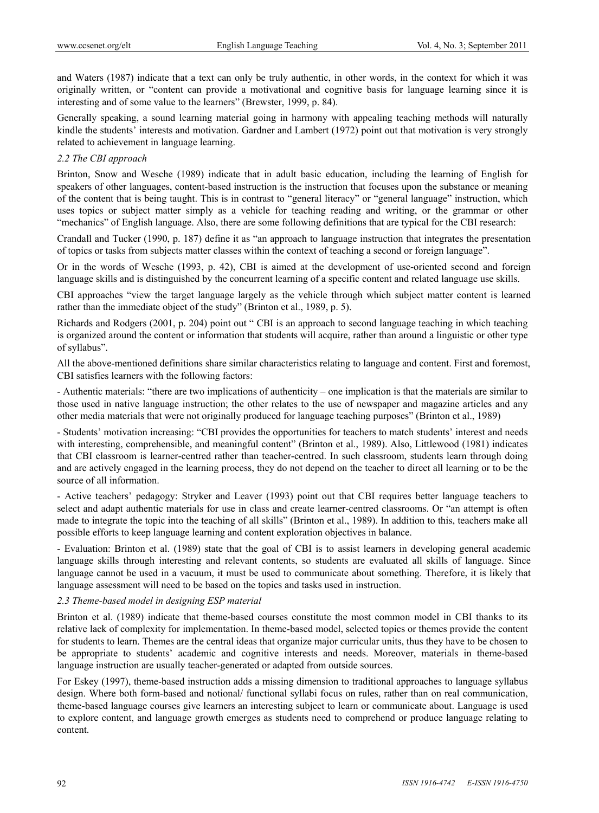and Waters (1987) indicate that a text can only be truly authentic, in other words, in the context for which it was originally written, or "content can provide a motivational and cognitive basis for language learning since it is interesting and of some value to the learners" (Brewster, 1999, p. 84).

Generally speaking, a sound learning material going in harmony with appealing teaching methods will naturally kindle the students' interests and motivation. Gardner and Lambert (1972) point out that motivation is very strongly related to achievement in language learning.

#### *2.2 The CBI approach*

Brinton, Snow and Wesche (1989) indicate that in adult basic education, including the learning of English for speakers of other languages, content-based instruction is the instruction that focuses upon the substance or meaning of the content that is being taught. This is in contrast to "general literacy" or "general language" instruction, which uses topics or subject matter simply as a vehicle for teaching reading and writing, or the grammar or other "mechanics" of English language. Also, there are some following definitions that are typical for the CBI research:

Crandall and Tucker (1990, p. 187) define it as "an approach to language instruction that integrates the presentation of topics or tasks from subjects matter classes within the context of teaching a second or foreign language".

Or in the words of Wesche (1993, p. 42), CBI is aimed at the development of use-oriented second and foreign language skills and is distinguished by the concurrent learning of a specific content and related language use skills.

CBI approaches "view the target language largely as the vehicle through which subject matter content is learned rather than the immediate object of the study" (Brinton et al., 1989, p. 5).

Richards and Rodgers (2001, p. 204) point out " CBI is an approach to second language teaching in which teaching is organized around the content or information that students will acquire, rather than around a linguistic or other type of syllabus".

All the above-mentioned definitions share similar characteristics relating to language and content. First and foremost, CBI satisfies learners with the following factors:

- Authentic materials: "there are two implications of authenticity – one implication is that the materials are similar to those used in native language instruction; the other relates to the use of newspaper and magazine articles and any other media materials that were not originally produced for language teaching purposes" (Brinton et al., 1989)

- Students' motivation increasing: "CBI provides the opportunities for teachers to match students' interest and needs with interesting, comprehensible, and meaningful content" (Brinton et al., 1989). Also, Littlewood (1981) indicates that CBI classroom is learner-centred rather than teacher-centred. In such classroom, students learn through doing and are actively engaged in the learning process, they do not depend on the teacher to direct all learning or to be the source of all information.

- Active teachers' pedagogy: Stryker and Leaver (1993) point out that CBI requires better language teachers to select and adapt authentic materials for use in class and create learner-centred classrooms. Or "an attempt is often made to integrate the topic into the teaching of all skills" (Brinton et al., 1989). In addition to this, teachers make all possible efforts to keep language learning and content exploration objectives in balance.

- Evaluation: Brinton et al. (1989) state that the goal of CBI is to assist learners in developing general academic language skills through interesting and relevant contents, so students are evaluated all skills of language. Since language cannot be used in a vacuum, it must be used to communicate about something. Therefore, it is likely that language assessment will need to be based on the topics and tasks used in instruction.

#### *2.3 Theme-based model in designing ESP material*

Brinton et al. (1989) indicate that theme-based courses constitute the most common model in CBI thanks to its relative lack of complexity for implementation. In theme-based model, selected topics or themes provide the content for students to learn. Themes are the central ideas that organize major curricular units, thus they have to be chosen to be appropriate to students' academic and cognitive interests and needs. Moreover, materials in theme-based language instruction are usually teacher-generated or adapted from outside sources.

For Eskey (1997), theme-based instruction adds a missing dimension to traditional approaches to language syllabus design. Where both form-based and notional/ functional syllabi focus on rules, rather than on real communication, theme-based language courses give learners an interesting subject to learn or communicate about. Language is used to explore content, and language growth emerges as students need to comprehend or produce language relating to content.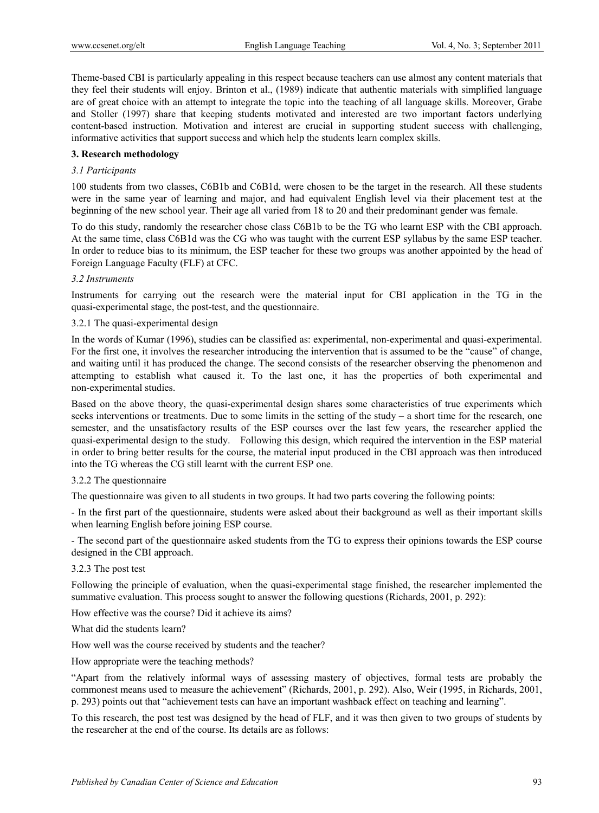Theme-based CBI is particularly appealing in this respect because teachers can use almost any content materials that they feel their students will enjoy. Brinton et al., (1989) indicate that authentic materials with simplified language are of great choice with an attempt to integrate the topic into the teaching of all language skills. Moreover, Grabe and Stoller (1997) share that keeping students motivated and interested are two important factors underlying content-based instruction. Motivation and interest are crucial in supporting student success with challenging, informative activities that support success and which help the students learn complex skills.

#### **3. Research methodology**

#### *3.1 Participants*

100 students from two classes, C6B1b and C6B1d, were chosen to be the target in the research. All these students were in the same year of learning and major, and had equivalent English level via their placement test at the beginning of the new school year. Their age all varied from 18 to 20 and their predominant gender was female.

To do this study, randomly the researcher chose class C6B1b to be the TG who learnt ESP with the CBI approach. At the same time, class C6B1d was the CG who was taught with the current ESP syllabus by the same ESP teacher. In order to reduce bias to its minimum, the ESP teacher for these two groups was another appointed by the head of Foreign Language Faculty (FLF) at CFC.

#### *3.2 Instruments*

Instruments for carrying out the research were the material input for CBI application in the TG in the quasi-experimental stage, the post-test, and the questionnaire.

#### 3.2.1 The quasi-experimental design

In the words of Kumar (1996), studies can be classified as: experimental, non-experimental and quasi-experimental. For the first one, it involves the researcher introducing the intervention that is assumed to be the "cause" of change, and waiting until it has produced the change. The second consists of the researcher observing the phenomenon and attempting to establish what caused it. To the last one, it has the properties of both experimental and non-experimental studies.

Based on the above theory, the quasi-experimental design shares some characteristics of true experiments which seeks interventions or treatments. Due to some limits in the setting of the study – a short time for the research, one semester, and the unsatisfactory results of the ESP courses over the last few years, the researcher applied the quasi-experimental design to the study. Following this design, which required the intervention in the ESP material in order to bring better results for the course, the material input produced in the CBI approach was then introduced into the TG whereas the CG still learnt with the current ESP one.

#### 3.2.2 The questionnaire

The questionnaire was given to all students in two groups. It had two parts covering the following points:

- In the first part of the questionnaire, students were asked about their background as well as their important skills when learning English before joining ESP course.

- The second part of the questionnaire asked students from the TG to express their opinions towards the ESP course designed in the CBI approach.

#### 3.2.3 The post test

Following the principle of evaluation, when the quasi-experimental stage finished, the researcher implemented the summative evaluation. This process sought to answer the following questions (Richards, 2001, p. 292):

How effective was the course? Did it achieve its aims?

What did the students learn?

How well was the course received by students and the teacher?

How appropriate were the teaching methods?

"Apart from the relatively informal ways of assessing mastery of objectives, formal tests are probably the commonest means used to measure the achievement" (Richards, 2001, p. 292). Also, Weir (1995, in Richards, 2001, p. 293) points out that "achievement tests can have an important washback effect on teaching and learning".

To this research, the post test was designed by the head of FLF, and it was then given to two groups of students by the researcher at the end of the course. Its details are as follows: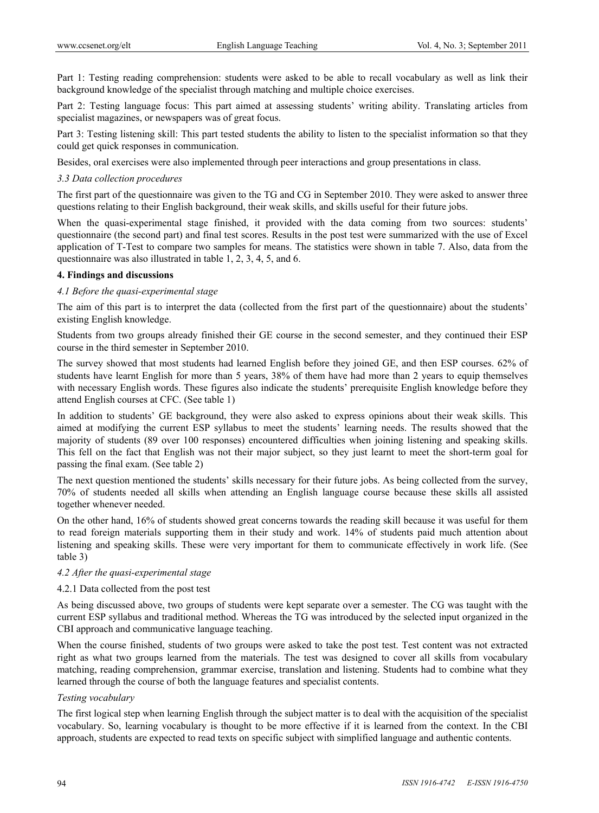Part 1: Testing reading comprehension: students were asked to be able to recall vocabulary as well as link their background knowledge of the specialist through matching and multiple choice exercises.

Part 2: Testing language focus: This part aimed at assessing students' writing ability. Translating articles from specialist magazines, or newspapers was of great focus.

Part 3: Testing listening skill: This part tested students the ability to listen to the specialist information so that they could get quick responses in communication.

Besides, oral exercises were also implemented through peer interactions and group presentations in class.

#### *3.3 Data collection procedures*

The first part of the questionnaire was given to the TG and CG in September 2010. They were asked to answer three questions relating to their English background, their weak skills, and skills useful for their future jobs.

When the quasi-experimental stage finished, it provided with the data coming from two sources: students' questionnaire (the second part) and final test scores. Results in the post test were summarized with the use of Excel application of T-Test to compare two samples for means. The statistics were shown in table 7. Also, data from the questionnaire was also illustrated in table 1, 2, 3, 4, 5, and 6.

#### **4. Findings and discussions**

#### *4.1 Before the quasi-experimental stage*

The aim of this part is to interpret the data (collected from the first part of the questionnaire) about the students' existing English knowledge.

Students from two groups already finished their GE course in the second semester, and they continued their ESP course in the third semester in September 2010.

The survey showed that most students had learned English before they joined GE, and then ESP courses. 62% of students have learnt English for more than 5 years, 38% of them have had more than 2 years to equip themselves with necessary English words. These figures also indicate the students' prerequisite English knowledge before they attend English courses at CFC. (See table 1)

In addition to students' GE background, they were also asked to express opinions about their weak skills. This aimed at modifying the current ESP syllabus to meet the students' learning needs. The results showed that the majority of students (89 over 100 responses) encountered difficulties when joining listening and speaking skills. This fell on the fact that English was not their major subject, so they just learnt to meet the short-term goal for passing the final exam. (See table 2)

The next question mentioned the students' skills necessary for their future jobs. As being collected from the survey, 70% of students needed all skills when attending an English language course because these skills all assisted together whenever needed.

On the other hand, 16% of students showed great concerns towards the reading skill because it was useful for them to read foreign materials supporting them in their study and work. 14% of students paid much attention about listening and speaking skills. These were very important for them to communicate effectively in work life. (See table 3)

#### *4.2 After the quasi-experimental stage*

#### 4.2.1 Data collected from the post test

As being discussed above, two groups of students were kept separate over a semester. The CG was taught with the current ESP syllabus and traditional method. Whereas the TG was introduced by the selected input organized in the CBI approach and communicative language teaching.

When the course finished, students of two groups were asked to take the post test. Test content was not extracted right as what two groups learned from the materials. The test was designed to cover all skills from vocabulary matching, reading comprehension, grammar exercise, translation and listening. Students had to combine what they learned through the course of both the language features and specialist contents.

#### *Testing vocabulary*

The first logical step when learning English through the subject matter is to deal with the acquisition of the specialist vocabulary. So, learning vocabulary is thought to be more effective if it is learned from the context. In the CBI approach, students are expected to read texts on specific subject with simplified language and authentic contents.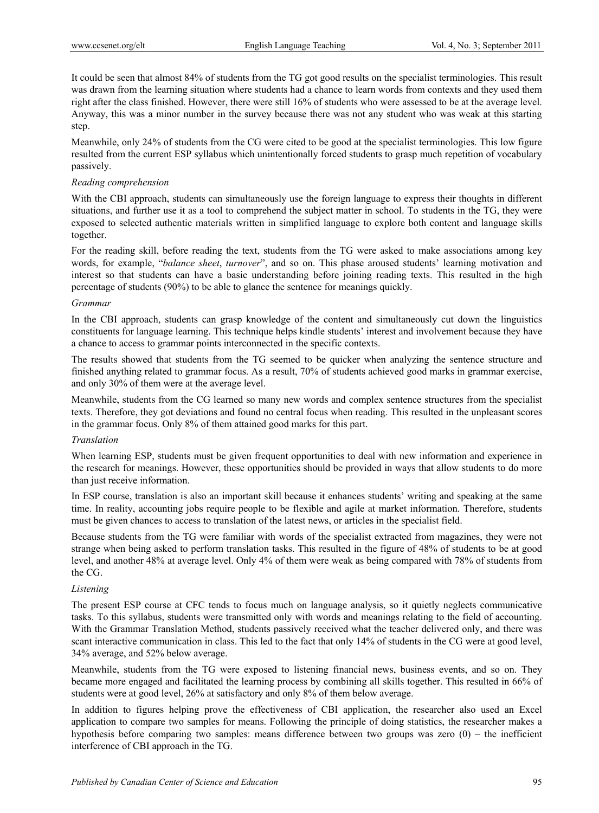It could be seen that almost 84% of students from the TG got good results on the specialist terminologies. This result was drawn from the learning situation where students had a chance to learn words from contexts and they used them right after the class finished. However, there were still 16% of students who were assessed to be at the average level. Anyway, this was a minor number in the survey because there was not any student who was weak at this starting step.

Meanwhile, only 24% of students from the CG were cited to be good at the specialist terminologies. This low figure resulted from the current ESP syllabus which unintentionally forced students to grasp much repetition of vocabulary passively.

#### *Reading comprehension*

With the CBI approach, students can simultaneously use the foreign language to express their thoughts in different situations, and further use it as a tool to comprehend the subject matter in school. To students in the TG, they were exposed to selected authentic materials written in simplified language to explore both content and language skills together.

For the reading skill, before reading the text, students from the TG were asked to make associations among key words, for example, "*balance sheet*, *turnover*", and so on. This phase aroused students' learning motivation and interest so that students can have a basic understanding before joining reading texts. This resulted in the high percentage of students (90%) to be able to glance the sentence for meanings quickly.

#### *Grammar*

In the CBI approach, students can grasp knowledge of the content and simultaneously cut down the linguistics constituents for language learning. This technique helps kindle students' interest and involvement because they have a chance to access to grammar points interconnected in the specific contexts.

The results showed that students from the TG seemed to be quicker when analyzing the sentence structure and finished anything related to grammar focus. As a result, 70% of students achieved good marks in grammar exercise, and only 30% of them were at the average level.

Meanwhile, students from the CG learned so many new words and complex sentence structures from the specialist texts. Therefore, they got deviations and found no central focus when reading. This resulted in the unpleasant scores in the grammar focus. Only 8% of them attained good marks for this part.

#### *Translation*

When learning ESP, students must be given frequent opportunities to deal with new information and experience in the research for meanings. However, these opportunities should be provided in ways that allow students to do more than just receive information.

In ESP course, translation is also an important skill because it enhances students' writing and speaking at the same time. In reality, accounting jobs require people to be flexible and agile at market information. Therefore, students must be given chances to access to translation of the latest news, or articles in the specialist field.

Because students from the TG were familiar with words of the specialist extracted from magazines, they were not strange when being asked to perform translation tasks. This resulted in the figure of 48% of students to be at good level, and another 48% at average level. Only 4% of them were weak as being compared with 78% of students from the CG.

#### *Listening*

The present ESP course at CFC tends to focus much on language analysis, so it quietly neglects communicative tasks. To this syllabus, students were transmitted only with words and meanings relating to the field of accounting. With the Grammar Translation Method, students passively received what the teacher delivered only, and there was scant interactive communication in class. This led to the fact that only 14% of students in the CG were at good level, 34% average, and 52% below average.

Meanwhile, students from the TG were exposed to listening financial news, business events, and so on. They became more engaged and facilitated the learning process by combining all skills together. This resulted in 66% of students were at good level, 26% at satisfactory and only 8% of them below average.

In addition to figures helping prove the effectiveness of CBI application, the researcher also used an Excel application to compare two samples for means. Following the principle of doing statistics, the researcher makes a hypothesis before comparing two samples: means difference between two groups was zero (0) – the inefficient interference of CBI approach in the TG.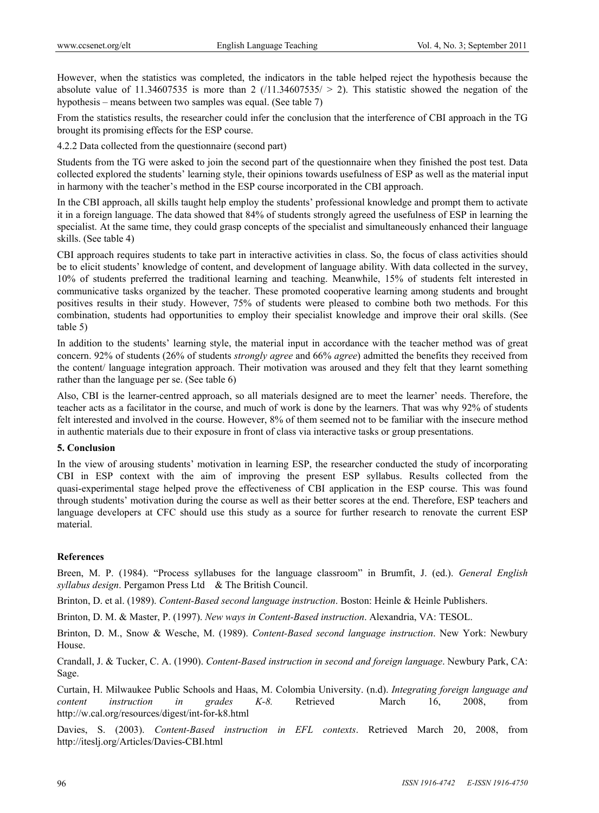However, when the statistics was completed, the indicators in the table helped reject the hypothesis because the absolute value of 11.34607535 is more than 2 (/11.34607535/  $>$  2). This statistic showed the negation of the hypothesis – means between two samples was equal. (See table 7)

From the statistics results, the researcher could infer the conclusion that the interference of CBI approach in the TG brought its promising effects for the ESP course.

4.2.2 Data collected from the questionnaire (second part)

Students from the TG were asked to join the second part of the questionnaire when they finished the post test. Data collected explored the students' learning style, their opinions towards usefulness of ESP as well as the material input in harmony with the teacher's method in the ESP course incorporated in the CBI approach.

In the CBI approach, all skills taught help employ the students' professional knowledge and prompt them to activate it in a foreign language. The data showed that 84% of students strongly agreed the usefulness of ESP in learning the specialist. At the same time, they could grasp concepts of the specialist and simultaneously enhanced their language skills. (See table 4)

CBI approach requires students to take part in interactive activities in class. So, the focus of class activities should be to elicit students' knowledge of content, and development of language ability. With data collected in the survey, 10% of students preferred the traditional learning and teaching. Meanwhile, 15% of students felt interested in communicative tasks organized by the teacher. These promoted cooperative learning among students and brought positives results in their study. However, 75% of students were pleased to combine both two methods. For this combination, students had opportunities to employ their specialist knowledge and improve their oral skills. (See table 5)

In addition to the students' learning style, the material input in accordance with the teacher method was of great concern. 92% of students (26% of students *strongly agree* and 66% *agree*) admitted the benefits they received from the content/ language integration approach. Their motivation was aroused and they felt that they learnt something rather than the language per se. (See table 6)

Also, CBI is the learner-centred approach, so all materials designed are to meet the learner' needs. Therefore, the teacher acts as a facilitator in the course, and much of work is done by the learners. That was why 92% of students felt interested and involved in the course. However, 8% of them seemed not to be familiar with the insecure method in authentic materials due to their exposure in front of class via interactive tasks or group presentations.

#### **5. Conclusion**

In the view of arousing students' motivation in learning ESP, the researcher conducted the study of incorporating CBI in ESP context with the aim of improving the present ESP syllabus. Results collected from the quasi-experimental stage helped prove the effectiveness of CBI application in the ESP course. This was found through students' motivation during the course as well as their better scores at the end. Therefore, ESP teachers and language developers at CFC should use this study as a source for further research to renovate the current ESP material.

#### **References**

Breen, M. P. (1984). "Process syllabuses for the language classroom" in Brumfit, J. (ed.). *General English syllabus design*. Pergamon Press Ltd & The British Council.

Brinton, D. et al. (1989). *Content-Based second language instruction*. Boston: Heinle & Heinle Publishers.

Brinton, D. M. & Master, P. (1997). *New ways in Content-Based instruction*. Alexandria, VA: TESOL.

Brinton, D. M., Snow & Wesche, M. (1989). *Content-Based second language instruction*. New York: Newbury House.

Crandall, J. & Tucker, C. A. (1990). *Content-Based instruction in second and foreign language*. Newbury Park, CA: Sage.

Curtain, H. Milwaukee Public Schools and Haas, M. Colombia University. (n.d). *Integrating foreign language and content instruction in grades K-8.* Retrieved March 16, 2008, from http://w.cal.org/resources/digest/int-for-k8.html

Davies, S. (2003). *Content-Based instruction in EFL contexts*. Retrieved March 20, 2008, from http://iteslj.org/Articles/Davies-CBI.html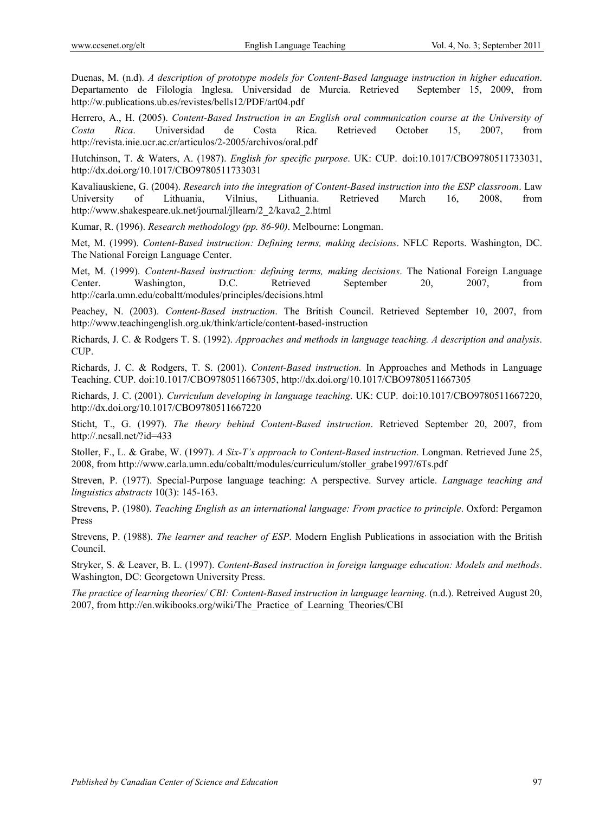Duenas, M. (n.d). *A description of prototype models for Content-Based language instruction in higher education*. Departamento de Filología Inglesa. Universidad de Murcia. Retrieved September 15, 2009, from http://w.publications.ub.es/revistes/bells12/PDF/art04.pdf

Herrero, A., H. (2005). *Content-Based Instruction in an English oral communication course at the University of Costa Rica*. Universidad de Costa Rica. Retrieved October 15, 2007, from http://revista.inie.ucr.ac.cr/articulos/2-2005/archivos/oral.pdf

Hutchinson, T. & Waters, A. (1987). *English for specific purpose*. UK: CUP. doi:10.1017/CBO9780511733031, http://dx.doi.org/10.1017/CBO9780511733031

Kavaliauskiene, G. (2004). *Research into the integration of Content-Based instruction into the ESP classroom*. Law University of Lithuania, Vilnius, Lithuania. Retrieved March 16, 2008, from http://www.shakespeare.uk.net/journal/jllearn/2\_2/kava2\_2.html

Kumar, R. (1996). *Research methodology (pp. 86-90)*. Melbourne: Longman.

Met, M. (1999). *Content-Based instruction: Defining terms, making decisions*. NFLC Reports. Washington, DC. The National Foreign Language Center.

Met, M. (1999). *Content-Based instruction: defining terms, making decisions*. The National Foreign Language Center. Washington, D.C. Retrieved September 20, 2007, from http://carla.umn.edu/cobaltt/modules/principles/decisions.html

Peachey, N. (2003). *Content-Based instruction*. The British Council. Retrieved September 10, 2007, from http://www.teachingenglish.org.uk/think/article/content-based-instruction

Richards, J. C. & Rodgers T. S. (1992). *Approaches and methods in language teaching. A description and analysis*. CUP.

Richards, J. C. & Rodgers, T. S. (2001). *Content-Based instruction.* In Approaches and Methods in Language Teaching. CUP. doi:10.1017/CBO9780511667305, http://dx.doi.org/10.1017/CBO9780511667305

Richards, J. C. (2001). *Curriculum developing in language teaching*. UK: CUP. doi:10.1017/CBO9780511667220, http://dx.doi.org/10.1017/CBO9780511667220

Sticht, T., G. (1997). *The theory behind Content-Based instruction*. Retrieved September 20, 2007, from http://.ncsall.net/?id=433

Stoller, F., L. & Grabe, W. (1997). *A Six-T's approach to Content-Based instruction*. Longman. Retrieved June 25, 2008, from http://www.carla.umn.edu/cobaltt/modules/curriculum/stoller\_grabe1997/6Ts.pdf

Streven, P. (1977). Special-Purpose language teaching: A perspective. Survey article. *Language teaching and linguistics abstracts* 10(3): 145-163.

Strevens, P. (1980). *Teaching English as an international language: From practice to principle*. Oxford: Pergamon Press

Strevens, P. (1988). *The learner and teacher of ESP*. Modern English Publications in association with the British Council.

Stryker, S. & Leaver, B. L. (1997). *Content-Based instruction in foreign language education: Models and methods*. Washington, DC: Georgetown University Press.

*The practice of learning theories/ CBI: Content-Based instruction in language learning*. (n.d.). Retreived August 20, 2007, from http://en.wikibooks.org/wiki/The\_Practice\_of\_Learning\_Theories/CBI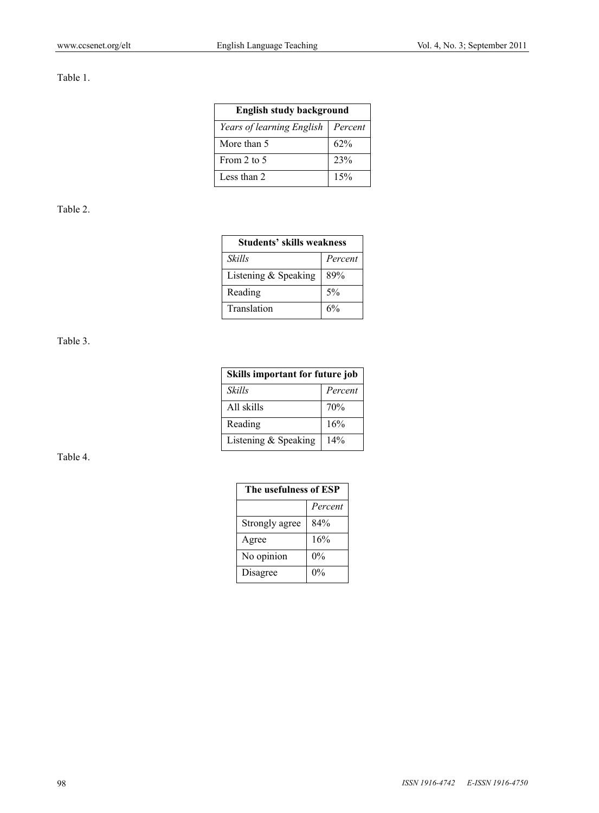## Table 1.

| English study background  |         |  |  |  |
|---------------------------|---------|--|--|--|
| Years of learning English | Percent |  |  |  |
| More than 5               | 62%     |  |  |  |
| From 2 to $5$             | 23%     |  |  |  |
| Less than 2               | 15%     |  |  |  |

### Table 2.

| <b>Students' skills weakness</b> |         |  |  |  |
|----------------------------------|---------|--|--|--|
| Skills                           | Percent |  |  |  |
| Listening & Speaking             | 89%     |  |  |  |
| Reading                          | 5%      |  |  |  |
| Translation                      | 6%      |  |  |  |

# Table 3.

| Skills important for future job |         |  |  |  |
|---------------------------------|---------|--|--|--|
| Skills                          | Percent |  |  |  |
| All skills                      | 70%     |  |  |  |
| Reading                         | 16%     |  |  |  |
| Listening & Speaking            | 14%     |  |  |  |

## Table 4.

| The usefulness of ESP |         |  |  |  |
|-----------------------|---------|--|--|--|
|                       | Percent |  |  |  |
| Strongly agree        | 84%     |  |  |  |
| Agree                 | 16%     |  |  |  |
| No opinion            | 0%      |  |  |  |
| Disagree              | $0\%$   |  |  |  |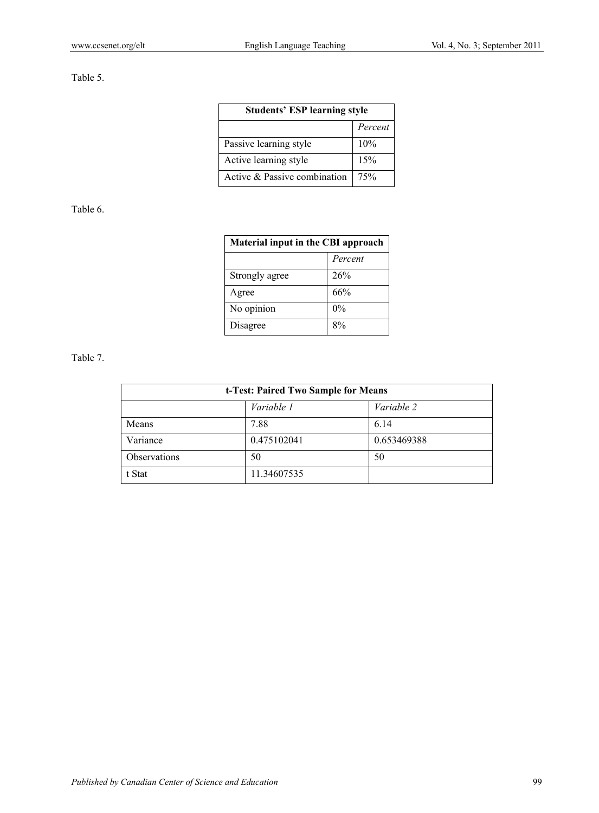#### Table 5.

| <b>Students' ESP learning style</b> |         |  |  |  |
|-------------------------------------|---------|--|--|--|
|                                     | Percent |  |  |  |
| Passive learning style              | 10%     |  |  |  |
| Active learning style               | 15%     |  |  |  |
| Active & Passive combination        | 75%     |  |  |  |

#### Table 6.

| Material input in the CBI approach |         |  |  |
|------------------------------------|---------|--|--|
|                                    | Percent |  |  |
| Strongly agree                     | 26%     |  |  |
| Agree                              | 66%     |  |  |
| No opinion                         | $0\%$   |  |  |
| Disagree                           | 8%      |  |  |

#### Table 7.

| t-Test: Paired Two Sample for Means |             |             |  |  |
|-------------------------------------|-------------|-------------|--|--|
|                                     | Variable 1  | Variable 2  |  |  |
| Means                               | 7.88        | 6.14        |  |  |
| Variance                            | 0.475102041 | 0.653469388 |  |  |
| Observations                        | 50          | 50          |  |  |
| t Stat                              | 11.34607535 |             |  |  |